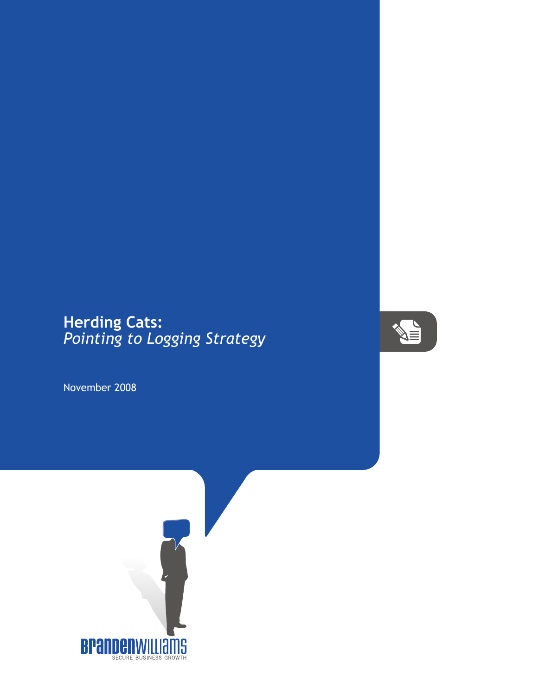## **Herding Cats:** *Pointing to Logging Strategy*



November 2008

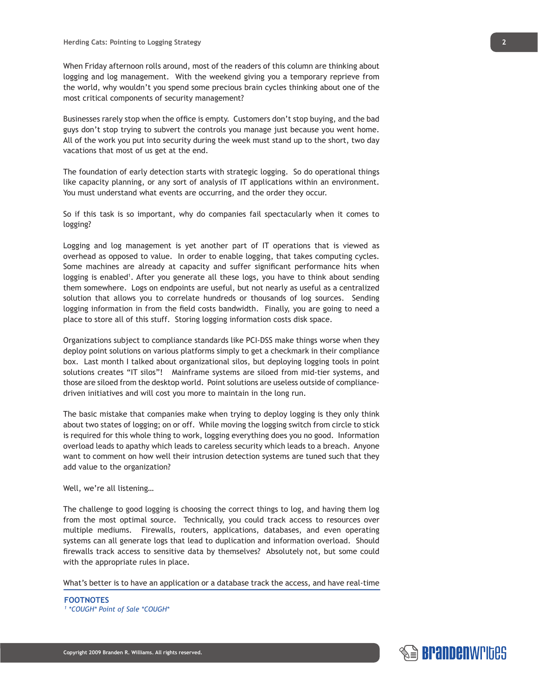When Friday afternoon rolls around, most of the readers of this column are thinking about logging and log management. With the weekend giving you a temporary reprieve from the world, why wouldn't you spend some precious brain cycles thinking about one of the most critical components of security management?

Businesses rarely stop when the office is empty. Customers don't stop buying, and the bad guys don't stop trying to subvert the controls you manage just because you went home. All of the work you put into security during the week must stand up to the short, two day vacations that most of us get at the end.

The foundation of early detection starts with strategic logging. So do operational things like capacity planning, or any sort of analysis of IT applications within an environment. You must understand what events are occurring, and the order they occur.

So if this task is so important, why do companies fail spectacularly when it comes to logging?

Logging and log management is yet another part of IT operations that is viewed as overhead as opposed to value. In order to enable logging, that takes computing cycles. Some machines are already at capacity and suffer significant performance hits when logging is enabled<sup>1</sup>. After you generate all these logs, you have to think about sending them somewhere. Logs on endpoints are useful, but not nearly as useful as a centralized solution that allows you to correlate hundreds or thousands of log sources. Sending logging information in from the field costs bandwidth. Finally, you are going to need a place to store all of this stuff. Storing logging information costs disk space.

Organizations subject to compliance standards like PCI-DSS make things worse when they deploy point solutions on various platforms simply to get a checkmark in their compliance box. Last month I talked about organizational silos, but deploying logging tools in point solutions creates "IT silos"! Mainframe systems are siloed from mid-tier systems, and those are siloed from the desktop world. Point solutions are useless outside of compliancedriven initiatives and will cost you more to maintain in the long run.

The basic mistake that companies make when trying to deploy logging is they only think about two states of logging; on or off. While moving the logging switch from circle to stick is required for this whole thing to work, logging everything does you no good. Information overload leads to apathy which leads to careless security which leads to a breach. Anyone want to comment on how well their intrusion detection systems are tuned such that they add value to the organization?

Well, we're all listening…

The challenge to good logging is choosing the correct things to log, and having them log from the most optimal source. Technically, you could track access to resources over multiple mediums. Firewalls, routers, applications, databases, and even operating systems can all generate logs that lead to duplication and information overload. Should firewalls track access to sensitive data by themselves? Absolutely not, but some could with the appropriate rules in place.

What's better is to have an application or a database track the access, and have real-time

**FOOTNOTES** *1 \*COUGH\* Point of Sale \*COUGH\**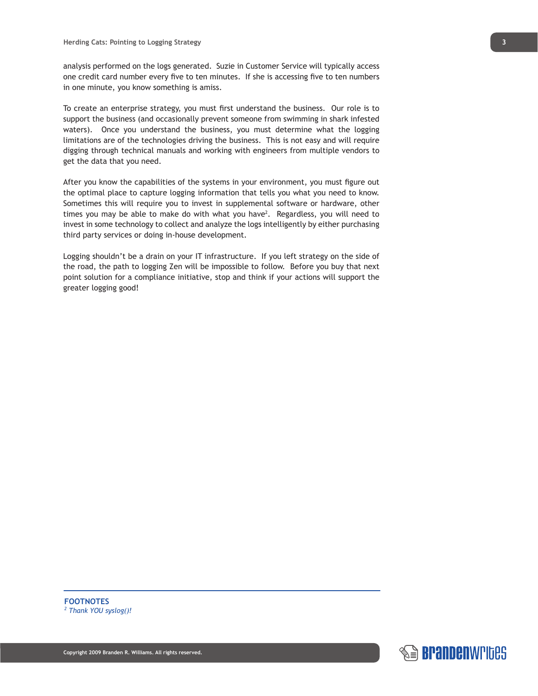analysis performed on the logs generated. Suzie in Customer Service will typically access one credit card number every five to ten minutes. If she is accessing five to ten numbers in one minute, you know something is amiss.

To create an enterprise strategy, you must first understand the business. Our role is to support the business (and occasionally prevent someone from swimming in shark infested waters). Once you understand the business, you must determine what the logging limitations are of the technologies driving the business. This is not easy and will require digging through technical manuals and working with engineers from multiple vendors to get the data that you need.

After you know the capabilities of the systems in your environment, you must figure out the optimal place to capture logging information that tells you what you need to know. Sometimes this will require you to invest in supplemental software or hardware, other times you may be able to make do with what you have2 . Regardless, you will need to invest in some technology to collect and analyze the logs intelligently by either purchasing third party services or doing in-house development.

Logging shouldn't be a drain on your IT infrastructure. If you left strategy on the side of the road, the path to logging Zen will be impossible to follow. Before you buy that next point solution for a compliance initiative, stop and think if your actions will support the greater logging good!